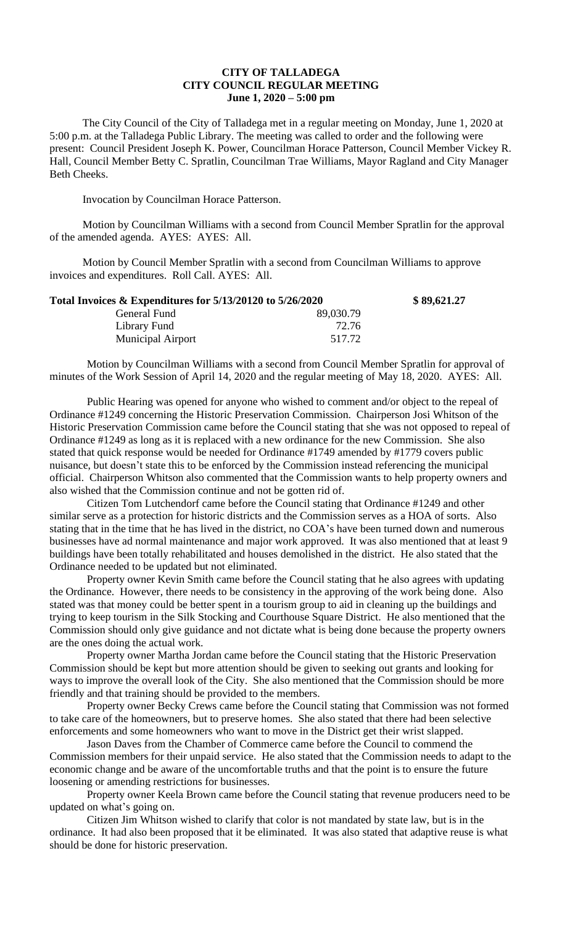## **CITY OF TALLADEGA CITY COUNCIL REGULAR MEETING June 1, 2020 – 5:00 pm**

The City Council of the City of Talladega met in a regular meeting on Monday, June 1, 2020 at 5:00 p.m. at the Talladega Public Library. The meeting was called to order and the following were present: Council President Joseph K. Power, Councilman Horace Patterson, Council Member Vickey R. Hall, Council Member Betty C. Spratlin, Councilman Trae Williams, Mayor Ragland and City Manager Beth Cheeks.

Invocation by Councilman Horace Patterson.

Motion by Councilman Williams with a second from Council Member Spratlin for the approval of the amended agenda. AYES: AYES: All.

Motion by Council Member Spratlin with a second from Councilman Williams to approve invoices and expenditures. Roll Call. AYES: All.

| Total Invoices $\&$ Expenditures for 5/13/20120 to 5/26/2020 |           | \$89,621.27 |
|--------------------------------------------------------------|-----------|-------------|
| General Fund                                                 | 89,030.79 |             |
| Library Fund                                                 | 72.76     |             |
| <b>Municipal Airport</b>                                     | 517.72    |             |

Motion by Councilman Williams with a second from Council Member Spratlin for approval of minutes of the Work Session of April 14, 2020 and the regular meeting of May 18, 2020. AYES: All.

Public Hearing was opened for anyone who wished to comment and/or object to the repeal of Ordinance #1249 concerning the Historic Preservation Commission. Chairperson Josi Whitson of the Historic Preservation Commission came before the Council stating that she was not opposed to repeal of Ordinance #1249 as long as it is replaced with a new ordinance for the new Commission. She also stated that quick response would be needed for Ordinance #1749 amended by #1779 covers public nuisance, but doesn't state this to be enforced by the Commission instead referencing the municipal official. Chairperson Whitson also commented that the Commission wants to help property owners and also wished that the Commission continue and not be gotten rid of.

Citizen Tom Lutchendorf came before the Council stating that Ordinance #1249 and other similar serve as a protection for historic districts and the Commission serves as a HOA of sorts. Also stating that in the time that he has lived in the district, no COA's have been turned down and numerous businesses have ad normal maintenance and major work approved. It was also mentioned that at least 9 buildings have been totally rehabilitated and houses demolished in the district. He also stated that the Ordinance needed to be updated but not eliminated.

Property owner Kevin Smith came before the Council stating that he also agrees with updating the Ordinance. However, there needs to be consistency in the approving of the work being done. Also stated was that money could be better spent in a tourism group to aid in cleaning up the buildings and trying to keep tourism in the Silk Stocking and Courthouse Square District. He also mentioned that the Commission should only give guidance and not dictate what is being done because the property owners are the ones doing the actual work.

Property owner Martha Jordan came before the Council stating that the Historic Preservation Commission should be kept but more attention should be given to seeking out grants and looking for ways to improve the overall look of the City. She also mentioned that the Commission should be more friendly and that training should be provided to the members.

Property owner Becky Crews came before the Council stating that Commission was not formed to take care of the homeowners, but to preserve homes. She also stated that there had been selective enforcements and some homeowners who want to move in the District get their wrist slapped.

Jason Daves from the Chamber of Commerce came before the Council to commend the Commission members for their unpaid service. He also stated that the Commission needs to adapt to the economic change and be aware of the uncomfortable truths and that the point is to ensure the future loosening or amending restrictions for businesses.

Property owner Keela Brown came before the Council stating that revenue producers need to be updated on what's going on.

Citizen Jim Whitson wished to clarify that color is not mandated by state law, but is in the ordinance. It had also been proposed that it be eliminated. It was also stated that adaptive reuse is what should be done for historic preservation.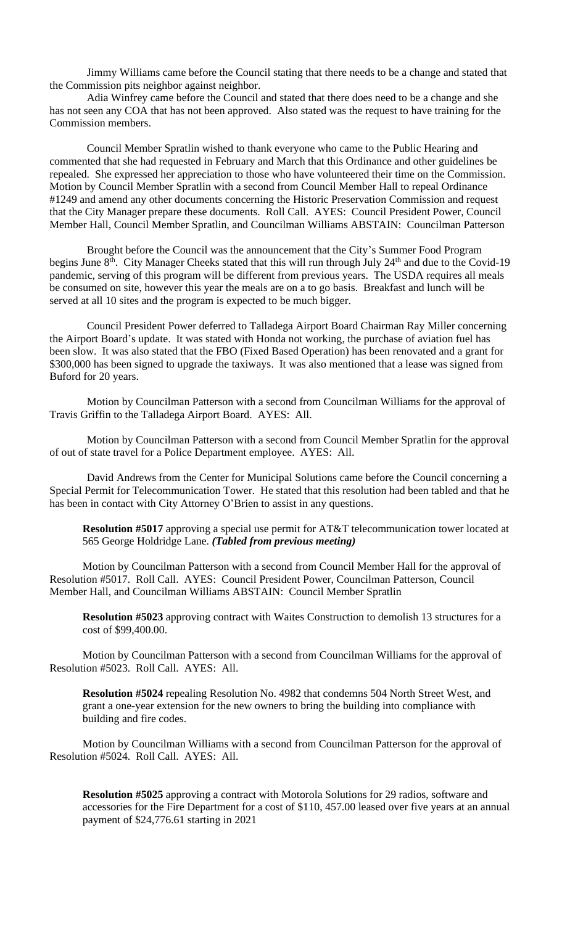Jimmy Williams came before the Council stating that there needs to be a change and stated that the Commission pits neighbor against neighbor.

Adia Winfrey came before the Council and stated that there does need to be a change and she has not seen any COA that has not been approved. Also stated was the request to have training for the Commission members.

Council Member Spratlin wished to thank everyone who came to the Public Hearing and commented that she had requested in February and March that this Ordinance and other guidelines be repealed. She expressed her appreciation to those who have volunteered their time on the Commission. Motion by Council Member Spratlin with a second from Council Member Hall to repeal Ordinance #1249 and amend any other documents concerning the Historic Preservation Commission and request that the City Manager prepare these documents. Roll Call. AYES: Council President Power, Council Member Hall, Council Member Spratlin, and Councilman Williams ABSTAIN: Councilman Patterson

Brought before the Council was the announcement that the City's Summer Food Program begins June  $8<sup>th</sup>$ . City Manager Cheeks stated that this will run through July  $24<sup>th</sup>$  and due to the Covid-19 pandemic, serving of this program will be different from previous years. The USDA requires all meals be consumed on site, however this year the meals are on a to go basis. Breakfast and lunch will be served at all 10 sites and the program is expected to be much bigger.

Council President Power deferred to Talladega Airport Board Chairman Ray Miller concerning the Airport Board's update. It was stated with Honda not working, the purchase of aviation fuel has been slow. It was also stated that the FBO (Fixed Based Operation) has been renovated and a grant for \$300,000 has been signed to upgrade the taxiways. It was also mentioned that a lease was signed from Buford for 20 years.

Motion by Councilman Patterson with a second from Councilman Williams for the approval of Travis Griffin to the Talladega Airport Board. AYES: All.

Motion by Councilman Patterson with a second from Council Member Spratlin for the approval of out of state travel for a Police Department employee. AYES: All.

David Andrews from the Center for Municipal Solutions came before the Council concerning a Special Permit for Telecommunication Tower. He stated that this resolution had been tabled and that he has been in contact with City Attorney O'Brien to assist in any questions.

**Resolution #5017** approving a special use permit for AT&T telecommunication tower located at 565 George Holdridge Lane. *(Tabled from previous meeting)*

Motion by Councilman Patterson with a second from Council Member Hall for the approval of Resolution #5017. Roll Call. AYES: Council President Power, Councilman Patterson, Council Member Hall, and Councilman Williams ABSTAIN: Council Member Spratlin

**Resolution #5023** approving contract with Waites Construction to demolish 13 structures for a cost of \$99,400.00.

Motion by Councilman Patterson with a second from Councilman Williams for the approval of Resolution #5023. Roll Call. AYES: All.

**Resolution #5024** repealing Resolution No. 4982 that condemns 504 North Street West, and grant a one-year extension for the new owners to bring the building into compliance with building and fire codes.

Motion by Councilman Williams with a second from Councilman Patterson for the approval of Resolution #5024. Roll Call. AYES: All.

**Resolution #5025** approving a contract with Motorola Solutions for 29 radios, software and accessories for the Fire Department for a cost of \$110, 457.00 leased over five years at an annual payment of \$24,776.61 starting in 2021